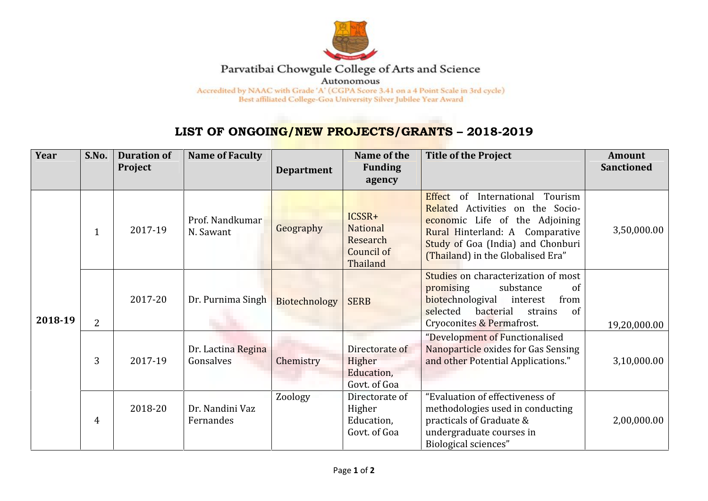

## Parvatibai Chowgule College of Arts and Science

Autonomous

Accredited by NAAC with Grade 'A' (CGPA Score 3.41 on a 4 Point Scale in 3rd cycle) Best affiliated College-Goa University Silver Jubilee Year Award

## **LIST OF ONGOING/NEW PROJECTS/GRANTS – 2018-2019**

| Year    | S.No.          | <b>Duration of</b><br>Project | <b>Name of Faculty</b>          | <b>Department</b> | Name of the<br><b>Funding</b><br>agency                  | <b>Title of the Project</b>                                                                                                                                                                                                 | <b>Amount</b><br><b>Sanctioned</b> |
|---------|----------------|-------------------------------|---------------------------------|-------------------|----------------------------------------------------------|-----------------------------------------------------------------------------------------------------------------------------------------------------------------------------------------------------------------------------|------------------------------------|
| 2018-19 | $\mathbf 1$    | 2017-19                       | Prof. Nandkumar<br>N. Sawant    | Geography         | ICSSR+<br>National<br>Research<br>Council of<br>Thailand | Tourism<br>Effect<br>of<br>International<br>Related Activities on the Socio-<br>economic Life of the Adjoining<br>Rural Hinterland: A Comparative<br>Study of Goa (India) and Chonburi<br>(Thailand) in the Globalised Era" | 3,50,000.00                        |
|         | $\overline{2}$ | 2017-20                       | Dr. Purnima Singh               | Biotechnology     | <b>SERB</b>                                              | Studies on characterization of most<br>promising<br>substance<br>of<br>biotechnologival<br>from<br>interest<br>selected<br>bacterial<br>strains<br>of<br>Cryoconites & Permafrost.                                          | 19,20,000.00                       |
|         | 3              | 2017-19                       | Dr. Lactina Regina<br>Gonsalves | Chemistry         | Directorate of<br>Higher<br>Education,<br>Govt. of Goa   | "Development of Functionalised<br>Nanoparticle oxides for Gas Sensing<br>and other Potential Applications."                                                                                                                 | 3,10,000.00                        |
|         | $\overline{4}$ | 2018-20                       | Dr. Nandini Vaz<br>Fernandes    | Zoology           | Directorate of<br>Higher<br>Education,<br>Govt. of Goa   | "Evaluation of effectiveness of<br>methodologies used in conducting<br>practicals of Graduate &<br>undergraduate courses in<br>Biological sciences"                                                                         | 2,00,000.00                        |